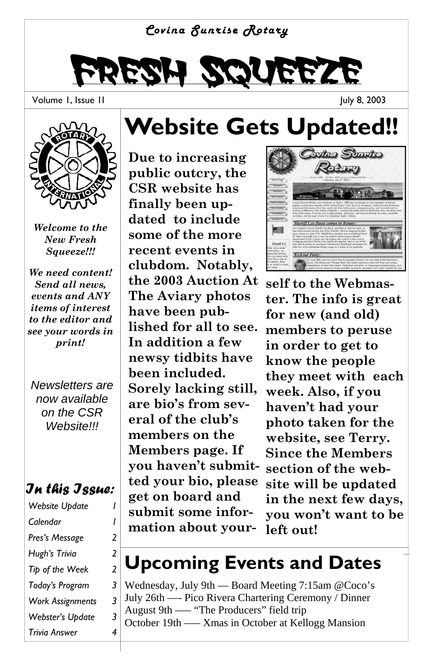#### *Covina Sunrise Rotary*



Volume 1, Issue 1I





*Welcome to the New Fresh Squeeze!!!* 

*We need content! Send all news, events and ANY items of interest to the editor and see your words in print!* 

*Newsletters are now available on the CSR Website!!!* 

#### *In this Issue:*

| Website Update          |   |
|-------------------------|---|
| Calendar                | ı |
| Pres's Message          | 2 |
| Hugh's Trivia           | 2 |
| Tip of the Week         | 2 |
| Today's Program         | 3 |
| <b>Work Assignments</b> | 3 |
| Webster's Update        | 3 |
| Trivia Answer           | 4 |

### **Website Gets Updated!!**

**Due to increasing public outcry, the CSR website has finally been updated to include some of the more recent events in clubdom. Notably, the 2003 Auction At The Aviary photos have been published for all to see. In addition a few newsy tidbits have been included. Sorely lacking still, are bio's from several of the club's members on the Members page. If you haven't submitted your bio, please get on board and submit some information about your-**



**self to the Webmaster. The info is great for new (and old) members to peruse in order to get to know the people they meet with each week. Also, if you haven't had your photo taken for the website, see Terry. Since the Members section of the website will be updated in the next few days, you won't want to be left out!** 

### **Upcoming Events and Dates**

Wednesday, July 9th — Board Meeting 7:15am @Coco's July 26th —- Pico Rivera Chartering Ceremony / Dinner August 9th —– "The Producers" field trip October 19th —– Xmas in October at Kellogg Mansion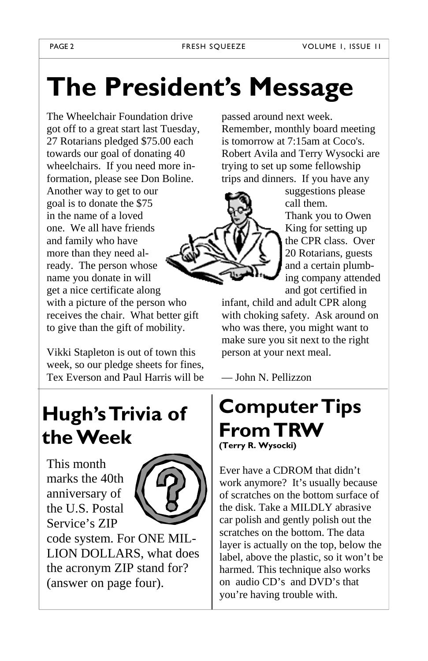# **The President's Message**

The Wheelchair Foundation drive got off to a great start last Tuesday, 27 Rotarians pledged \$75.00 each towards our goal of donating 40 wheelchairs. If you need more information, please see Don Boline. Another way to get to our goal is to donate the \$75 in the name of a loved one. We all have friends and family who have more than they need already. The person whose name you donate in will get a nice certificate along with a picture of the person who receives the chair. What better gift to give than the gift of mobility.

Vikki Stapleton is out of town this week, so our pledge sheets for fines, Tex Everson and Paul Harris will be passed around next week. Remember, monthly board meeting is tomorrow at 7:15am at Coco's. Robert Avila and Terry Wysocki are trying to set up some fellowship trips and dinners. If you have any



suggestions please call them. Thank you to Owen King for setting up the CPR class. Over 20 Rotarians, guests and a certain plumbing company attended and got certified in

infant, child and adult CPR along with choking safety. Ask around on who was there, you might want to make sure you sit next to the right person at your next meal.

— John N. Pellizzon

## **Hugh's Trivia of the Week**

This month marks the 40th anniversary of the U.S. Postal Service's ZIP



code system. For ONE MIL-LION DOLLARS, what does the acronym ZIP stand for? (answer on page four).

#### **Computer Tips From TRW (Terry R. Wysocki)**

Ever have a CDROM that didn't work anymore? It's usually because of scratches on the bottom surface of the disk. Take a MILDLY abrasive car polish and gently polish out the scratches on the bottom. The data layer is actually on the top, below the label, above the plastic, so it won't be harmed. This technique also works on audio CD's and DVD's that you're having trouble with.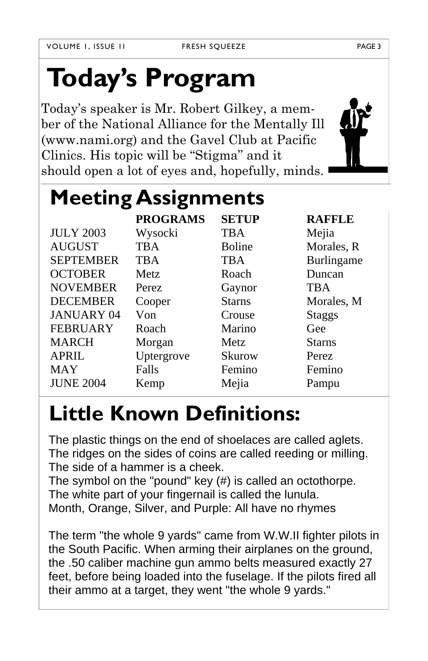# **Today's Program**

Today's speaker is Mr. Robert Gilkey, a member of the National Alliance for the Mentally Ill (www.nami.org) and the Gavel Club at Pacific Clinics. His topic will be "Stigma" and it should open a lot of eyes and, hopefully, minds.

| <b>Meeting Assignments</b> |                 |               |               |
|----------------------------|-----------------|---------------|---------------|
|                            | <b>PROGRAMS</b> | <b>SETUP</b>  | <b>RAFFLE</b> |
| <b>JULY 2003</b>           | Wysocki         | TBA           | Mejia         |
| <b>AUGUST</b>              | <b>TBA</b>      | <b>Boline</b> | Morales, R    |
| <b>SEPTEMBER</b>           | <b>TBA</b>      | <b>TBA</b>    | Burlingame    |
| <b>OCTOBER</b>             | Metz.           | Roach         | Duncan        |
| <b>NOVEMBER</b>            | <b>Perez</b>    | Gaynor        | <b>TBA</b>    |
| <b>DECEMBER</b>            | Cooper          | <b>Starns</b> | Morales, M    |
| <b>JANUARY 04</b>          | Von             | Crouse        | <b>Staggs</b> |
| <b>FEBRUARY</b>            | Roach           | Marino        | Gee           |
| <b>MARCH</b>               | Morgan          | <b>Metz</b>   | <b>Starns</b> |
| <b>APRIL</b>               | Uptergrove      | <b>Skurow</b> | <b>Perez</b>  |
| <b>MAY</b>                 | Falls           | Femino        | Femino        |
| <b>JUNE 2004</b>           | Kemp            | Mejia         | Pampu         |

## **Little Known Definitions:**

The plastic things on the end of shoelaces are called aglets. The ridges on the sides of coins are called reeding or milling. The side of a hammer is a cheek.

The symbol on the "pound" key (#) is called an octothorpe. The white part of your fingernail is called the lunula. Month, Orange, Silver, and Purple: All have no rhymes

The term "the whole 9 yards" came from W.W.II fighter pilots in the South Pacific. When arming their airplanes on the ground, the .50 caliber machine gun ammo belts measured exactly 27 feet, before being loaded into the fuselage. If the pilots fired all their ammo at a target, they went "the whole 9 yards."